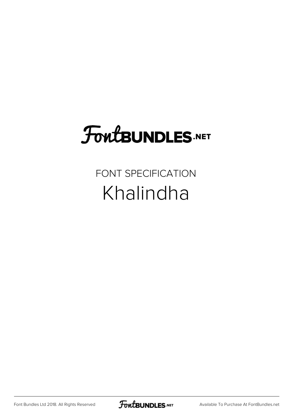# **FoutBUNDLES.NET**

FONT SPECIFICATION Khalindha

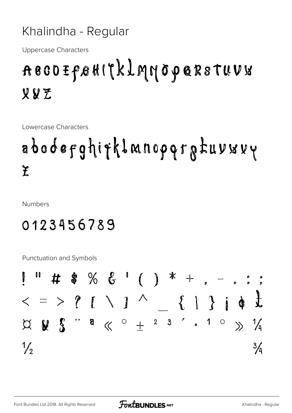#### Khalindha - Regular

**Uppercase Characters** 

### ABCOIFBHITKLMMOPQRSTUVU VVZ

Lowercase Characters

## abodefghifklanopqratuvwvy  $\mathbf{\hat{f}}$

**Numbers** 

#### 0123456789

**Punctuation and Symbols** 

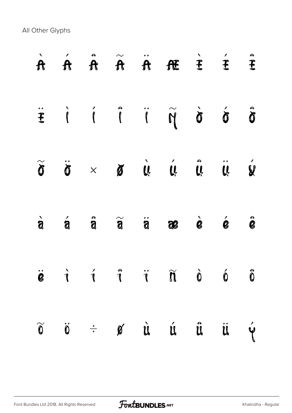All Other Glyphs

|                          |                     |                    |                                                                    |   | $\begin{array}{ccccccccccccccccc} \mathbf{\dot{r}} & \mathbf{\dot{\hat{r}}} & \mathbf{\dot{\hat{r}}} & \mathbf{\dot{\hat{r}}} & \mathbf{\dot{\hat{r}}} & \mathbf{\dot{\hat{r}}} & \mathbf{\dot{\hat{r}}} & \mathbf{\dot{\hat{r}}} & \mathbf{\dot{\hat{r}}} & \mathbf{\dot{\hat{r}}} & \mathbf{\dot{\hat{r}}} & \mathbf{\dot{\hat{r}}} & \mathbf{\dot{\hat{r}}} & \mathbf{\dot{\hat{r}}} & \mathbf{\dot{\hat{r}}} & \mathbf{\dot{\hat{r}}} & \mathbf{\dot{\hat{r}}} & \mathbf{\dot{\hat{$ |                           |                                   |                       |
|--------------------------|---------------------|--------------------|--------------------------------------------------------------------|---|------------------------------------------------------------------------------------------------------------------------------------------------------------------------------------------------------------------------------------------------------------------------------------------------------------------------------------------------------------------------------------------------------------------------------------------------------------------------------------------|---------------------------|-----------------------------------|-----------------------|
|                          |                     |                    |                                                                    |   | <b>EIIIIII</b>                                                                                                                                                                                                                                                                                                                                                                                                                                                                           |                           |                                   | S                     |
|                          |                     |                    |                                                                    |   | $\widetilde{\sigma}$ $\ddot{\sigma}$ $\times$ $\sigma$ $\dot{\sigma}$ $\dot{\sigma}$ $\ddot{\sigma}$                                                                                                                                                                                                                                                                                                                                                                                     |                           |                                   | V                     |
|                          |                     |                    |                                                                    |   | $\dot{a}$ $\dot{a}$ $\ddot{a}$ $\ddot{a}$ $\ddot{a}$ $\dot{a}$ $\dot{a}$ $\dot{a}$ $\dot{a}$                                                                                                                                                                                                                                                                                                                                                                                             |                           |                                   | $\hat{\mathbf{e}}$    |
| $\bullet$ $\bullet$<br>B | $\mathcal{I}$       |                    | $\mathscr{I}$ and $\mathscr{I}$ are about the set of $\mathscr{I}$ |   | $\tilde{\mathbf{r}}$ $\tilde{\mathbf{r}}$ $\tilde{\mathbf{r}}$ $\tilde{\mathbf{r}}$                                                                                                                                                                                                                                                                                                                                                                                                      | $\ddot{\mathbf{0}}$       | $\sqrt{2}$<br>$\ddot{\mathbf{0}}$ | B<br>$\boldsymbol{0}$ |
| $\widetilde{\mathbf{0}}$ | $\ddot{\textbf{0}}$ | $\frac{1}{\sigma}$ | $\mathscr G$                                                       | Ù | Ú                                                                                                                                                                                                                                                                                                                                                                                                                                                                                        | $\mathring{\mathfrak{u}}$ | Ü                                 |                       |